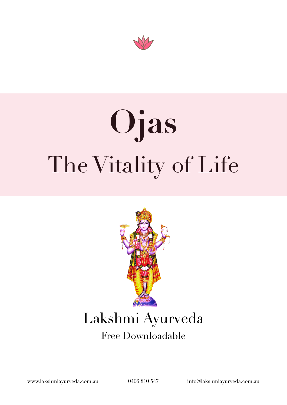

# **Ojas**  The Vitality of Life



## Lakshmi Ayurveda

### Free Downloadable

[www.lakshmiayurveda.com.au](http://www.lakshmiayurveda.com.au) 0406 810 547 [info@lakshmiayurveda.com.au](mailto:info@lakshmiayurveda.com.au)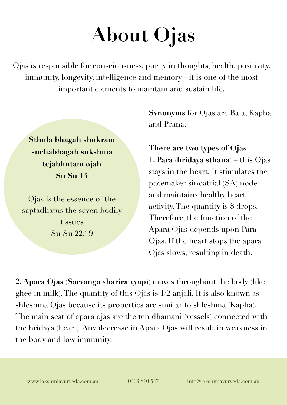## **About Ojas**

Ojas is responsible for consciousness, purity in thoughts, health, positivity, immunity, longevity, intelligence and memory - it is one of the most important elements to maintain and sustain life.

**Sthula bhagah shukram snehabhagah sukshma tejabhutam ojah Su Su 14** 

Ojas is the essence of the saptadhatus the seven bodily tissues Su Su 22:19

**Synonyms** for Ojas are Bala, Kapha and Prana.

**There are two types of Ojas 1. Para (hridaya sthana)** – this Ojas stays in the heart. It stimulates the pacemaker sinoatrial (SA) node and maintains healthy heart activity. The quantity is 8 drops. Therefore, the function of the Apara Ojas depends upon Para Ojas. If the heart stops the apara Ojas slows, resulting in death.

**2. Apara Ojas (Sarvanga sharira vyapi)** moves throughout the body (like ghee in milk). The quantity of this Ojas is 1/2 anjali. It is also known as shleshma Ojas because its properties are similar to shleshma (Kapha). The main seat of apara ojas are the ten dhamani (vessels) connected with the hridaya (heart). Any decrease in Apara Ojas will result in weakness in the body and low immunity.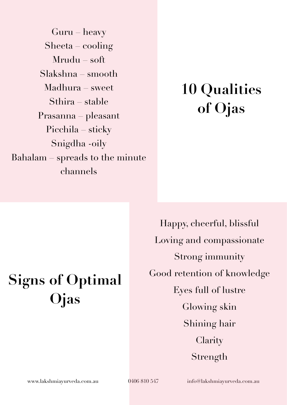Guru – heavy Sheeta – cooling Mrudu – soft Slakshna – smooth Madhura – sweet Sthira – stable Prasanna – pleasant Picchila – sticky Snigdha -oily Bahalam – spreads to the minute channels

### **10 Qualities of Ojas**

### **Signs of Optimal Ojas**

Happy, cheerful, blissful Loving and compassionate Strong immunity Good retention of knowledge Eyes full of lustre Glowing skin Shining hair **Clarity** Strength

[www.lakshmiayurveda.com.au](http://www.lakshmiayurveda.com.au) 0406 810 547 [info@lakshmiayurveda.com.au](mailto:info@lakshmiayurveda.com.au)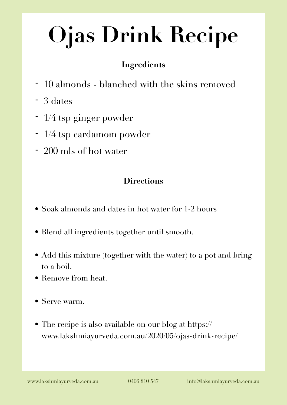## **Ojas Drink Recipe**

#### **Ingredients**

- 10 almonds blanched with the skins removed
- 3 dates
- 1/4 tsp ginger powder
- 1/4 tsp cardamom powder
- 200 mls of hot water

#### **Directions**

- Soak almonds and dates in hot water for 1-2 hours
- Blend all ingredients together until smooth.
- Add this mixture (together with the water) to a pot and bring to a boil.
- Remove from heat.
- Serve warm.
- The recipe is also available on our blog at https:// www.lakshmiayurveda.com.au/2020/05/ojas-drink-recipe/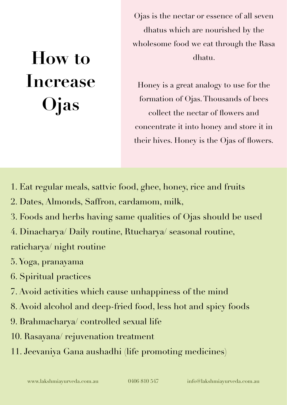### **How to Increase Ojas**

Ojas is the nectar or essence of all seven dhatus which are nourished by the wholesome food we eat through the Rasa dhatu.

Honey is a great analogy to use for the formation of Ojas. Thousands of bees collect the nectar of flowers and concentrate it into honey and store it in their hives. Honey is the Ojas of flowers.

- 1. Eat regular meals, sattvic food, ghee, honey, rice and fruits
- 2. Dates, Almonds, Saffron, cardamom, milk,
- 3. Foods and herbs having same qualities of Ojas should be used
- 4. Dinacharya/ Daily routine, Rtucharya/ seasonal routine, raticharya/ night routine
- 5. Yoga, pranayama
- 6. Spiritual practices
- 7. Avoid activities which cause unhappiness of the mind
- 8. Avoid alcohol and deep-fried food, less hot and spicy foods
- 9. Brahmacharya/ controlled sexual life
- 10. Rasayana/ rejuvenation treatment
- 11. Jeevaniya Gana aushadhi (life promoting medicines)